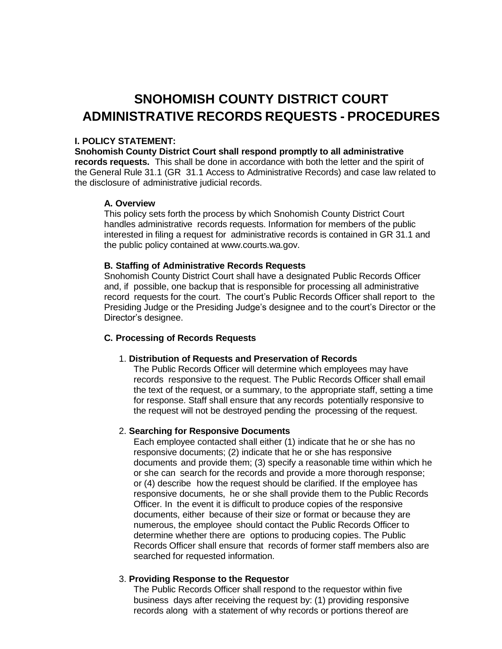# **SNOHOMISH COUNTY DISTRICT COURT ADMINISTRATIVE RECORDS REQUESTS - PROCEDURES**

# **I. POLICY STATEMENT:**

**Snohomish County District Court shall respond promptly to all administrative records requests.** This shall be done in accordance with both the letter and the spirit of the General Rule 31.1 (GR 31.1 Access to Administrative Records) and case law related to the disclosure of administrative judicial records.

#### **A. Overview**

This policy sets forth the process by which Snohomish County District Court handles administrative records requests. Information for members of the public interested in filing a request for administrative records is contained in GR 31.1 and the public policy contained at www.courts.wa.gov.

#### **B. Staffing of Administrative Records Requests**

Snohomish County District Court shall have a designated Public Records Officer and, if possible, one backup that is responsible for processing all administrative record requests for the court. The court's Public Records Officer shall report to the Presiding Judge or the Presiding Judge's designee and to the court's Director or the Director's designee.

## **C. Processing of Records Requests**

#### 1. **Distribution of Requests and Preservation of Records**

The Public Records Officer will determine which employees may have records responsive to the request. The Public Records Officer shall email the text of the request, or a summary, to the appropriate staff, setting a time for response. Staff shall ensure that any records potentially responsive to the request will not be destroyed pending the processing of the request.

## 2. **Searching for Responsive Documents**

Each employee contacted shall either (1) indicate that he or she has no responsive documents; (2) indicate that he or she has responsive documents and provide them; (3) specify a reasonable time within which he or she can search for the records and provide a more thorough response; or (4) describe how the request should be clarified. If the employee has responsive documents, he or she shall provide them to the Public Records Officer. In the event it is difficult to produce copies of the responsive documents, either because of their size or format or because they are numerous, the employee should contact the Public Records Officer to determine whether there are options to producing copies. The Public Records Officer shall ensure that records of former staff members also are searched for requested information.

## 3. **Providing Response to the Requestor**

The Public Records Officer shall respond to the requestor within five business days after receiving the request by: (1) providing responsive records along with a statement of why records or portions thereof are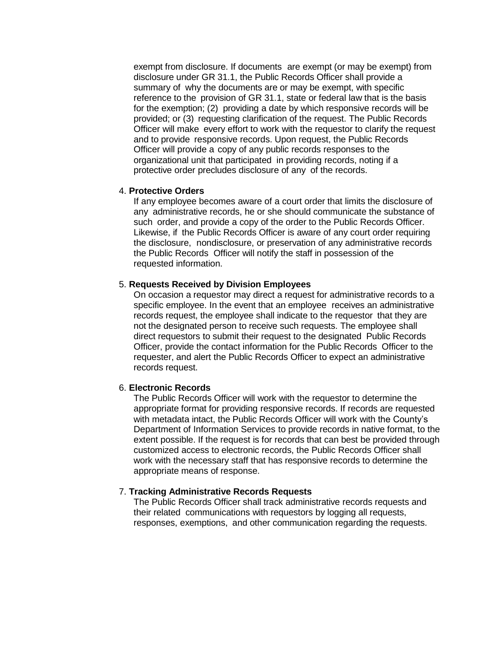exempt from disclosure. If documents are exempt (or may be exempt) from disclosure under GR 31.1, the Public Records Officer shall provide a summary of why the documents are or may be exempt, with specific reference to the provision of GR 31.1, state or federal law that is the basis for the exemption; (2) providing a date by which responsive records will be provided; or (3) requesting clarification of the request. The Public Records Officer will make every effort to work with the requestor to clarify the request and to provide responsive records. Upon request, the Public Records Officer will provide a copy of any public records responses to the organizational unit that participated in providing records, noting if a protective order precludes disclosure of any of the records.

## 4. **Protective Orders**

If any employee becomes aware of a court order that limits the disclosure of any administrative records, he or she should communicate the substance of such order, and provide a copy of the order to the Public Records Officer. Likewise, if the Public Records Officer is aware of any court order requiring the disclosure, nondisclosure, or preservation of any administrative records the Public Records Officer will notify the staff in possession of the requested information.

#### 5. **Requests Received by Division Employees**

On occasion a requestor may direct a request for administrative records to a specific employee. In the event that an employee receives an administrative records request, the employee shall indicate to the requestor that they are not the designated person to receive such requests. The employee shall direct requestors to submit their request to the designated Public Records Officer, provide the contact information for the Public Records Officer to the requester, and alert the Public Records Officer to expect an administrative records request.

## 6. **Electronic Records**

The Public Records Officer will work with the requestor to determine the appropriate format for providing responsive records. If records are requested with metadata intact, the Public Records Officer will work with the County's Department of Information Services to provide records in native format, to the extent possible. If the request is for records that can best be provided through customized access to electronic records, the Public Records Officer shall work with the necessary staff that has responsive records to determine the appropriate means of response.

## 7. **Tracking Administrative Records Requests**

The Public Records Officer shall track administrative records requests and their related communications with requestors by logging all requests, responses, exemptions, and other communication regarding the requests.